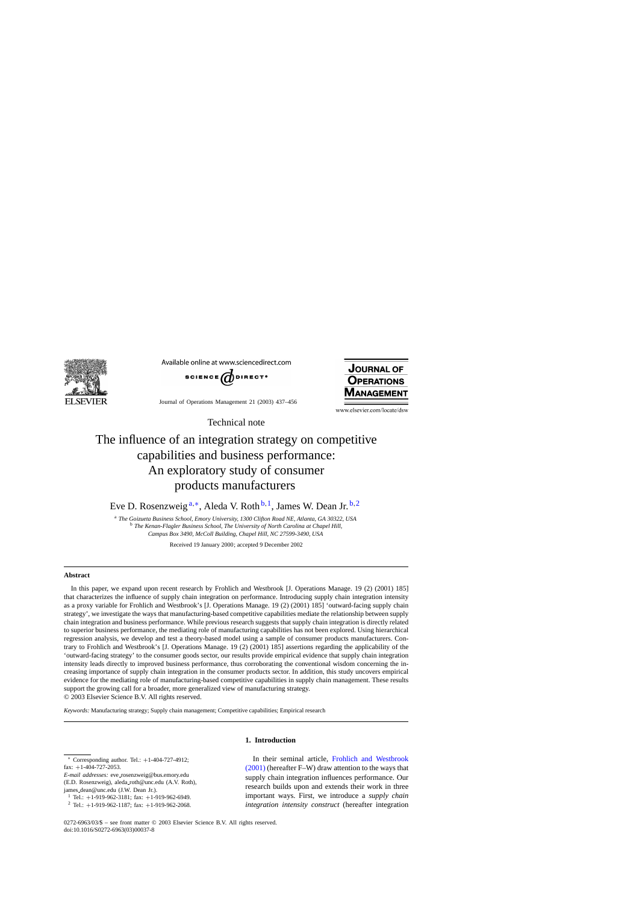

Available online at www.sciencedirect.com



Journal of Operations Management 21 (2003) 437–456



www.elsevier.com/locate/dsw

Technical note

## The influence of an integration strategy on competitive capabilities and business performance: An exploratory study of consumer products manufacturers

Eve D. Rosenzweig<sup>a,\*</sup>, Aleda V. Roth<sup>b,1</sup>, James W. Dean Jr.<sup>b,2</sup>

<sup>a</sup> *The Goizueta Business School, Emory University, 1300 Clifton Road NE, Atlanta, GA 30322, USA* <sup>b</sup> *The Kenan-Flagler Business School, The University of North Carolina at Chapel Hill, Campus Box 3490, McColl Building, Chapel Hill, NC 27599-3490, USA*

Received 19 January 2000; accepted 9 December 2002

## **Abstract**

In this paper, we expand upon recent research by Frohlich and Westbrook [J. Operations Manage. 19 (2) (2001) 185] that characterizes the influence of supply chain integration on performance. Introducing supply chain integration intensity as a proxy variable for Frohlich and Westbrook's [J. Operations Manage. 19 (2) (2001) 185] 'outward-facing supply chain strategy', we investigate the ways that manufacturing-based competitive capabilities mediate the relationship between supply chain integration and business performance. While previous research suggests that supply chain integration is directly related to superior business performance, the mediating role of manufacturing capabilities has not been explored. Using hierarchical regression analysis, we develop and test a theory-based model using a sample of consumer products manufacturers. Contrary to Frohlich and Westbrook's [J. Operations Manage. 19 (2) (2001) 185] assertions regarding the applicability of the 'outward-facing strategy' to the consumer goods sector, our results provide empirical evidence that supply chain integration intensity leads directly to improved business performance, thus corroborating the conventional wisdom concerning the increasing importance of supply chain integration in the consumer products sector. In addition, this study uncovers empirical evidence for the mediating role of manufacturing-based competitive capabilities in supply chain management. These results support the growing call for a broader, more generalized view of manufacturing strategy. © 2003 Elsevier Science B.V. All rights reserved.

*Keywords:* Manufacturing strategy; Supply chain management; Competitive capabilities; Empirical research

## **1. Introduction**

Corresponding author. Tel.:  $+1-404-727-4912$ ; fax:  $+1-404-727-2053$ .

*E-mail addresses:* eve\_rosenzweig@bus.emory.edu (E.D. Rosenzweig), aleda roth@unc.edu (A.V. Roth), james dean@unc.edu (J.W. Dean Jr.).

In their seminal article, [Frohlich and Westbrook](#page--1-0) [\(2001\)](#page--1-0) (hereafter F–W) draw attention to the ways that supply chain integration influences performance. Our research builds upon and extends their work in three important ways. First, we introduce a *supply chain integration intensity construct* (hereafter integration

<sup>&</sup>lt;sup>1</sup> Tel.:  $+1$ -919-962-3181; fax:  $+1$ -919-962-6949.<br><sup>2</sup> Tel.:  $+1$ -919-962-1187; fax:  $+1$ -919-962-2068.

<sup>0272-6963/03/\$ –</sup> see front matter © 2003 Elsevier Science B.V. All rights reserved. doi:10.1016/S0272-6963(03)00037-8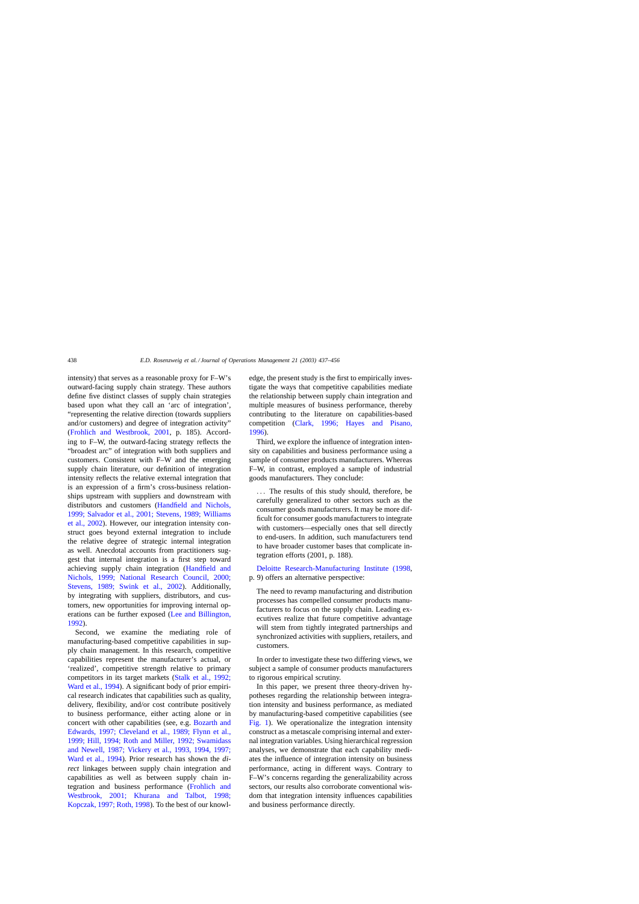intensity) that serves as a reasonable proxy for F–W's outward-facing supply chain strategy. These authors define five distinct classes of supply chain strategies based upon what they call an 'arc of integration', "representing the relative direction (towards suppliers and/or customers) and degree of integration activity" ([Frohlich and Westbrook, 2001](#page--1-0), p. 185). According to F–W, the outward-facing strategy reflects the "broadest arc" of integration with both suppliers and customers. Consistent with F–W and the emerging supply chain literature, our definition of integration intensity reflects the relative external integration that is an expression of a firm's cross-business relationships upstream with suppliers and downstream with distributors and customers [\(Handfield and Nichols,](#page--1-0) [1999; Salvador et al., 2001; Stevens, 1989; Williams](#page--1-0) [et al., 2002\).](#page--1-0) However, our integration intensity construct goes beyond external integration to include the relative degree of strategic internal integration as well. Anecdotal accounts from practitioners suggest that internal integration is a first step toward achieving supply chain integration [\(Handfield and](#page--1-0) [Nichols, 1999; National Research Council, 2000;](#page--1-0) [Stevens, 1989; Swink et al., 20](#page--1-0)02). Additionally, by integrating with suppliers, distributors, and customers, new opportunities for improving internal operations can be further exposed ([Lee and Billington,](#page--1-0) [1992\).](#page--1-0)

Second, we examine the mediating role of manufacturing-based competitive capabilities in supply chain management. In this research, competitive capabilities represent the manufacturer's actual, or 'realized', competitive strength relative to primary competitors in its target markets [\(Stalk et al., 1992;](#page--1-0) [Ward et al., 1994\).](#page--1-0) A significant body of prior empirical research indicates that capabilities such as quality, delivery, flexibility, and/or cost contribute positively to business performance, either acting alone or in concert with other capabilities (see, e.g. [Bozarth and](#page--1-0) [Edwards, 1997; Cleveland et al., 1989; Flynn et al.,](#page--1-0) [1999; Hill, 1994; Roth and Miller, 1992; Swamidass](#page--1-0) [and Newell, 1987; Vickery et al., 1993, 1994, 1997;](#page--1-0) [Ward et al., 1994\)](#page--1-0). Prior research has shown the *direct* linkages between supply chain integration and capabilities as well as between supply chain integration and business performance [\(Frohlich and](#page--1-0) [Westbrook, 2001; Khurana and Talbot, 1998](#page--1-0); [Kopczak, 1997; Roth, 1998\).](#page--1-0) To the best of our knowledge, the present study is the first to empirically investigate the ways that competitive capabilities mediate the relationship between supply chain integration and multiple measures of business performance, thereby contributing to the literature on capabilities-based competition ([Clark, 1996; Hayes and Pi](#page--1-0)sano, [1996\).](#page--1-0)

Third, we explore the influence of integration intensity on capabilities and business performance using a sample of consumer products manufacturers. Whereas F–W, in contrast, employed a sample of industrial goods manufacturers. They conclude:

... The results of this study should, therefore, be carefully generalized to other sectors such as the consumer goods manufacturers. It may be more difficult for consumer goods manufacturers to integrate with customers—especially ones that sell directly to end-users. In addition, such manufacturers tend to have broader customer bases that complicate integration efforts (2001, p. 188).

[Deloitte Research-Manufacturing Institute \(1998](#page--1-0), p. 9) offers an alternative perspective:

The need to revamp manufacturing and distribution processes has compelled consumer products manufacturers to focus on the supply chain. Leading executives realize that future competitive advantage will stem from tightly integrated partnerships and synchronized activities with suppliers, retailers, and customers.

In order to investigate these two differing views, we subject a sample of consumer products manufacturers to rigorous empirical scrutiny.

In this paper, we present three theory-driven hypotheses regarding the relationship between integration intensity and business performance, as mediated by manufacturing-based competitive capabilities (see [Fig. 1\)](#page--1-0). We operationalize the integration intensity construct as a metascale comprising internal and external integration variables. Using hierarchical regression analyses, we demonstrate that each capability mediates the influence of integration intensity on business performance, acting in different ways. Contrary to F–W's concerns regarding the generalizability across sectors, our results also corroborate conventional wisdom that integration intensity influences capabilities and business performance directly.